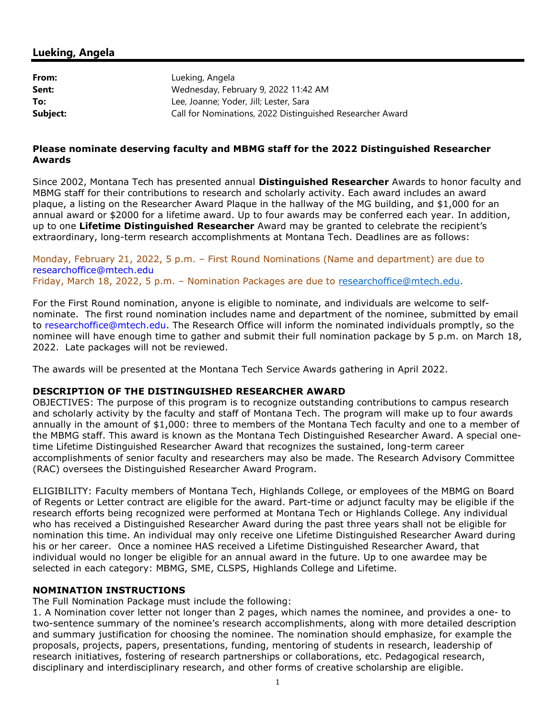## Lueking, Angela

| From:    | Lueking, Angela                                           |
|----------|-----------------------------------------------------------|
| Sent:    | Wednesday, February 9, 2022 11:42 AM                      |
| To:      | Lee, Joanne; Yoder, Jill; Lester, Sara                    |
| Subject: | Call for Nominations, 2022 Distinguished Researcher Award |

### Please nominate deserving faculty and MBMG staff for the 2022 Distinguished Researcher Awards

Since 2002, Montana Tech has presented annual **Distinguished Researcher** Awards to honor faculty and MBMG staff for their contributions to research and scholarly activity. Each award includes an award plaque, a listing on the Researcher Award Plaque in the hallway of the MG building, and \$1,000 for an annual award or \$2000 for a lifetime award. Up to four awards may be conferred each year. In addition, up to one Lifetime Distinguished Researcher Award may be granted to celebrate the recipient's extraordinary, long-term research accomplishments at Montana Tech. Deadlines are as follows:

Monday, February 21, 2022, 5 p.m. – First Round Nominations (Name and department) are due to researchoffice@mtech.edu Friday, March 18, 2022, 5 p.m. – Nomination Packages are due to researchoffice@mtech.edu.

For the First Round nomination, anyone is eligible to nominate, and individuals are welcome to selfnominate. The first round nomination includes name and department of the nominee, submitted by email to researchoffice@mtech.edu. The Research Office will inform the nominated individuals promptly, so the nominee will have enough time to gather and submit their full nomination package by 5 p.m. on March 18, 2022. Late packages will not be reviewed.

The awards will be presented at the Montana Tech Service Awards gathering in April 2022.

## DESCRIPTION OF THE DISTINGUISHED RESEARCHER AWARD

OBJECTIVES: The purpose of this program is to recognize outstanding contributions to campus research and scholarly activity by the faculty and staff of Montana Tech. The program will make up to four awards annually in the amount of \$1,000: three to members of the Montana Tech faculty and one to a member of the MBMG staff. This award is known as the Montana Tech Distinguished Researcher Award. A special onetime Lifetime Distinguished Researcher Award that recognizes the sustained, long-term career accomplishments of senior faculty and researchers may also be made. The Research Advisory Committee (RAC) oversees the Distinguished Researcher Award Program.

ELIGIBILITY: Faculty members of Montana Tech, Highlands College, or employees of the MBMG on Board of Regents or Letter contract are eligible for the award. Part-time or adjunct faculty may be eligible if the research efforts being recognized were performed at Montana Tech or Highlands College. Any individual who has received a Distinguished Researcher Award during the past three years shall not be eligible for nomination this time. An individual may only receive one Lifetime Distinguished Researcher Award during his or her career. Once a nominee HAS received a Lifetime Distinguished Researcher Award, that individual would no longer be eligible for an annual award in the future. Up to one awardee may be selected in each category: MBMG, SME, CLSPS, Highlands College and Lifetime.

#### NOMINATION INSTRUCTIONS

The Full Nomination Package must include the following:

1. A Nomination cover letter not longer than 2 pages, which names the nominee, and provides a one- to two-sentence summary of the nominee's research accomplishments, along with more detailed description and summary justification for choosing the nominee. The nomination should emphasize, for example the proposals, projects, papers, presentations, funding, mentoring of students in research, leadership of research initiatives, fostering of research partnerships or collaborations, etc. Pedagogical research, disciplinary and interdisciplinary research, and other forms of creative scholarship are eligible.